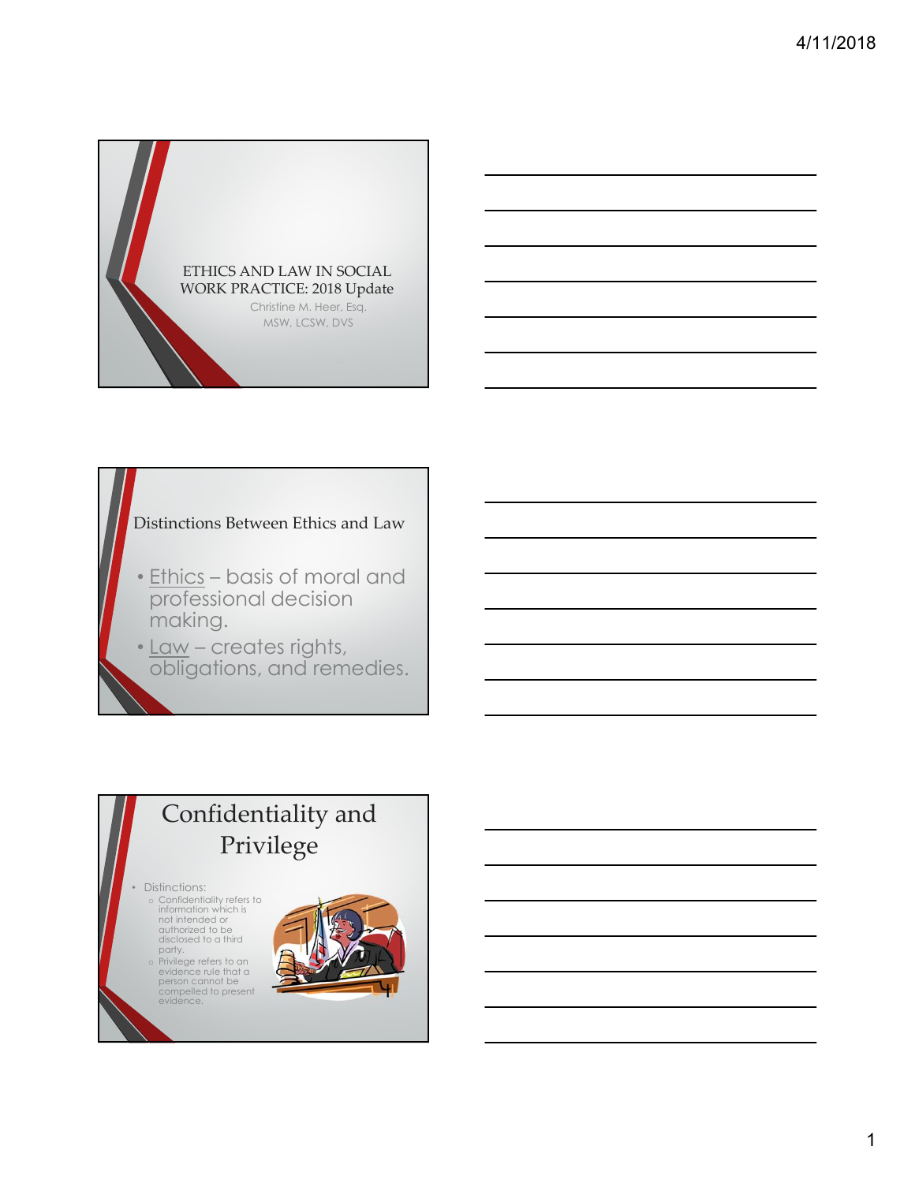

#### Distinctions Between Ethics and Law

- <u>Ethics</u> basis of moral and<br>professional decision making.
- <u>Law</u> creates rights,<br>obligations, and remedies.

#### Confidentiality and Privilege

#### • Distinctions:

- disclosed to a third
- 

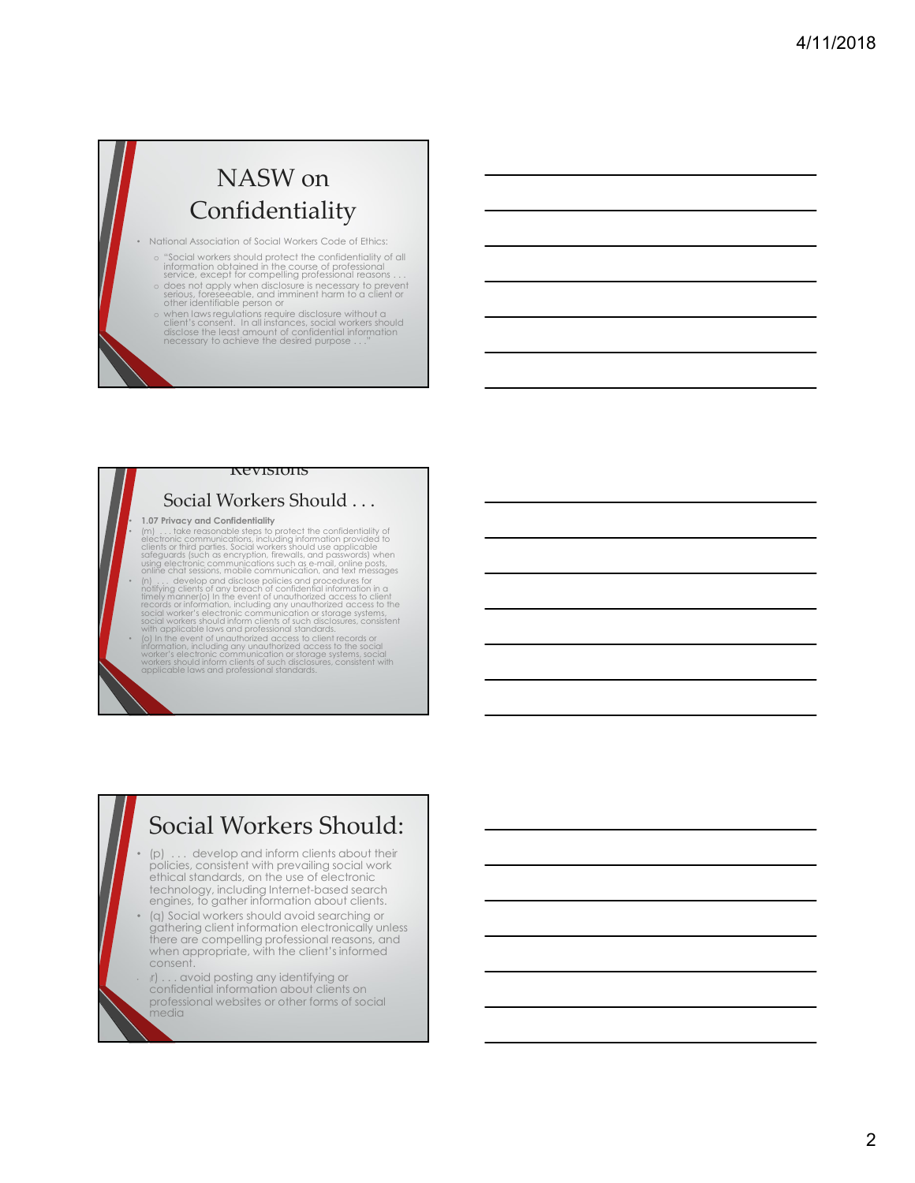#### NASW on Confidentiality

• National Association of Social Workers Code of Ethics:

- 
- o "Social workers should protect the confidentiality of all<br>information obtained in the course of professional<br>service, except for compelling professional reasons ...<br>o does not apply when disclosure is necessary to preven
- o when laws regulations require disclosure without a client's consent. In all instances, social workers should disclose the least amount of confidential information necessary to achieve the desired purpose . . . "<br>necessar

#### Revisions

#### Social Workers Should . . .

• 1.07 Privacy and Confidentiality<br>
• [m] ... take reasonable steps to protect the confidentiality of<br>
electronic communications, including information provided to<br>
clients or third parties. Social workers should use appli • (n) . . . develop and disclose policies and procedures for notifying clients of any breach of confidential information in a timely manner(o) In the event of unauthorized access to client records or information, including any unauthorized access to the records or records or  $\overline{\phantom{a}}$ 

social worker's electronic communication or storage systems,<br>social workers should inform clients of such disclosures, consistent<br>with applicable laws and professional standards.<br>• (o) In the event of unauthorized access t

#### Social Workers Should:

- (p) . . . develop and inform clients about their policies, consistent with prevailing social work ethical standards, on the use of electronic technology, including Internet-based search engines, to gather information about clients.
- (q) Social workers should avoid searching or gathering client information electronically unless there are compelling professional reasons, and when appropriate, with the client's informed consent.
- (r) . . . avoid posting any identifying or confidential information about clients on professional websites or other forms of social media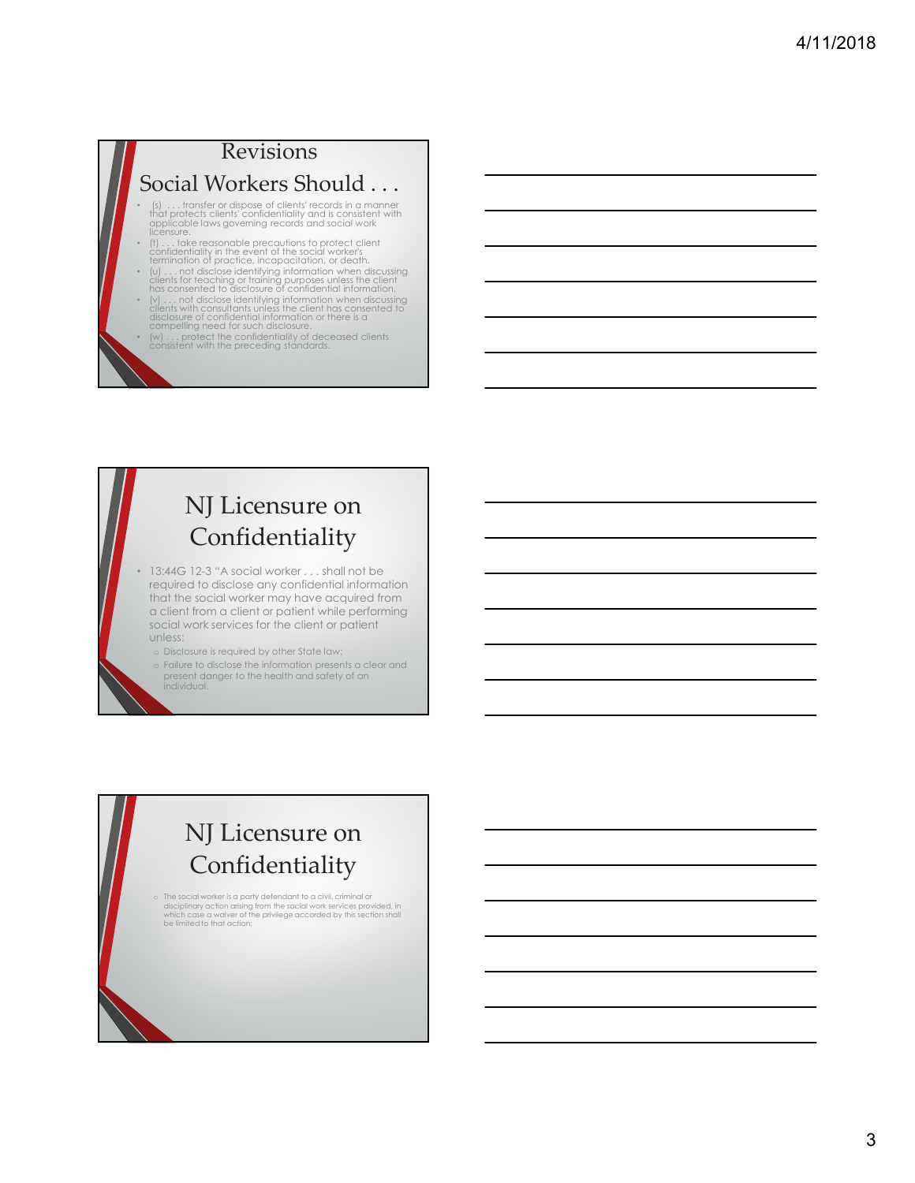#### Revisions Social Workers Should . . .

- (s) . . . transfer or dispose of clients' records in a manner that protects clients' confidentiality and is consistent with applicable laws governing records and social work licensure.
- (t) . . . take reasonable precautions to protect client confidentiality in the event of the social worker's termination of practice, incapacitation, or death.
- (u) . . . not disclose identifying information when discussing clients for teaching or training purposes unless the client has consented to disclosure of confidential information.
- (v) . . . not disclose identifying information when discussing<br>clients with consultants unless the client has consented to<br>disclosure of confidential information or there is a<br>compelling need for such disclosure.<br>(w) . .
- 

#### NJ Licensure on Confidentiality

- 13:44G 12-3 "A social worker . . . shall not be required to disclose any confidential information that the social worker may have acquired from a client from a client or patient while performing social work services for the client or patient unless:
	- o Disclosure is required by other State law;
	- o Failure to disclose the information presents a clear and present danger to the health and safety of an individual.

#### NJ Licensure on Confidentiality

o The social worker is a party defendant to a civil, criminal or<br>disciplinary action arising from the social work services provided, in<br>which case a waiver of the privilege accorded by this section shall<br>be limited to that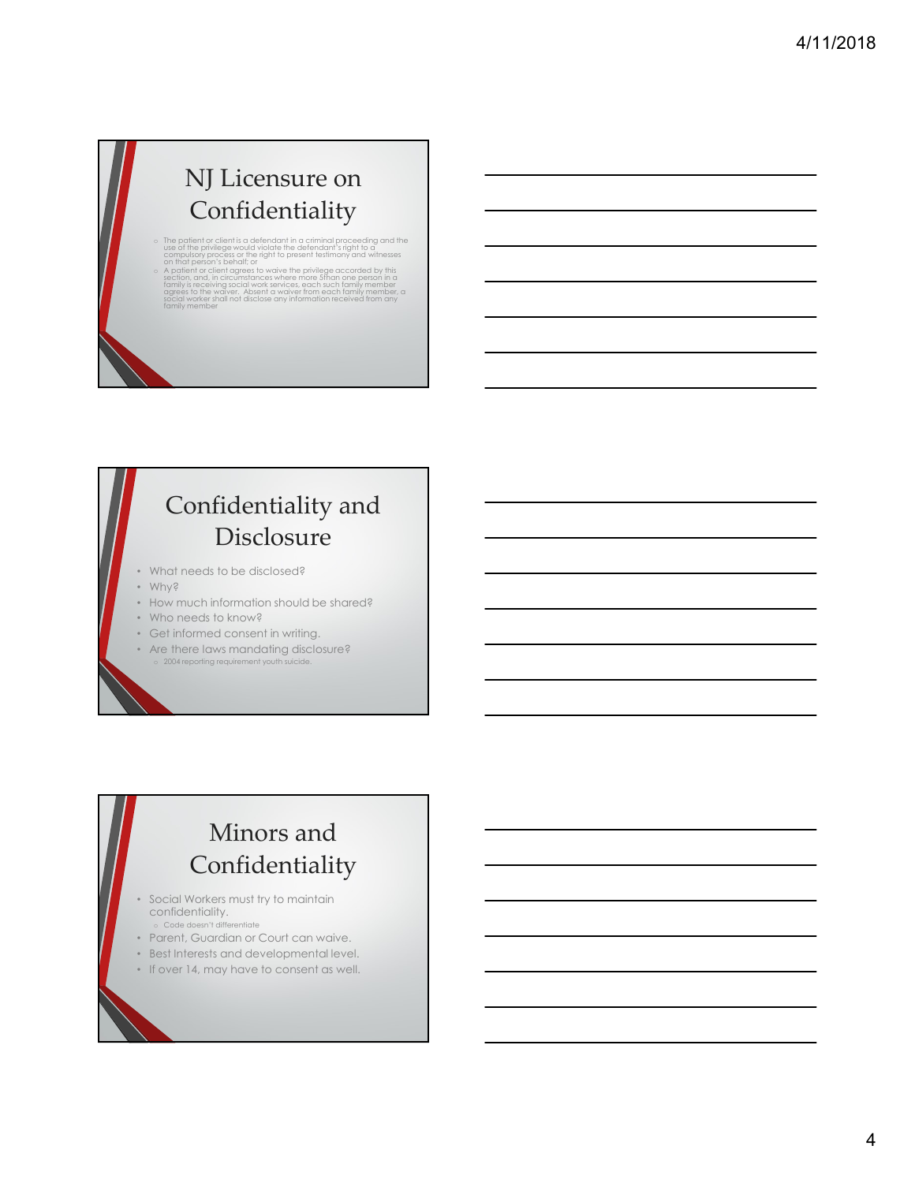#### NJ Licensure on Confidentiality

- o The patient or client is a defendant in a criminal proceeding and the<br>use of the privilege would violate the defendant's right to a<br>compulsory process or the right to present testimony and witnesses<br>on that person's beha
- <sup>o</sup> A patient or client agrees to waive the privilege accorded by this section, and, in circumstances where more 5than one person in a family is receiving social work services, each such family member<br>agrees to the waiver. Absent a waiver from each family member, a social worker shall not disclose any information received from any family member

#### Confidentiality and Disclosure

- What needs to be disclosed?
- Why?
- How much information should be shared?
- Who needs to know?
- Get informed consent in writing.
- Are there laws mandating disclosure? 2004 reporting requirement youth

#### Minors and Confidentiality

- Social Workers must try to maintain confidentiality. o Code doesn't differentiate
- Parent, Guardian or Court can waive.
- Best Interests and developmental level.
- If over 14, may have to consent as well.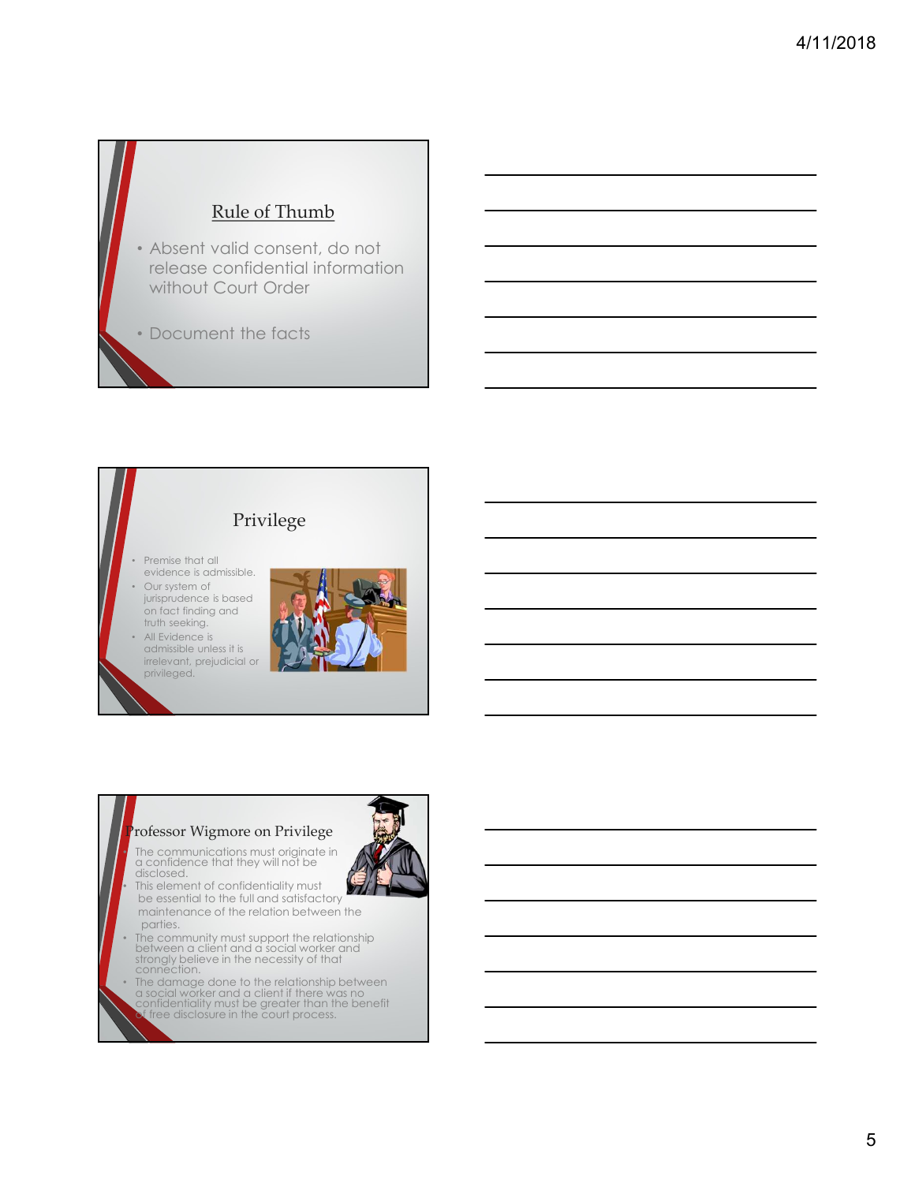#### Rule of Thumb

• Absent valid consent, do not release confidential information without Court Order

• Document the facts



admissible unless it is irrelevant, prejudicial or privileged.



• The communications must originate in a confidence that they will not be disclosed.

This element of confidentiality must be essential to the full and satisfactory maintenance of the relation between the

parties. The contract of the contract of the contract of the contract of the contract of the contract of the contract of the contract of the contract of the contract of the contract of the contract of the contract of the c

- The community must support the relationship between a client and a social worker and strongly believe in the necessity of that<br>connection.
- The damage done to the relationship between  $\alpha$  social worker and a client if there was no confidentiality must be greater than the benefit<br>of free disclosure in the court process.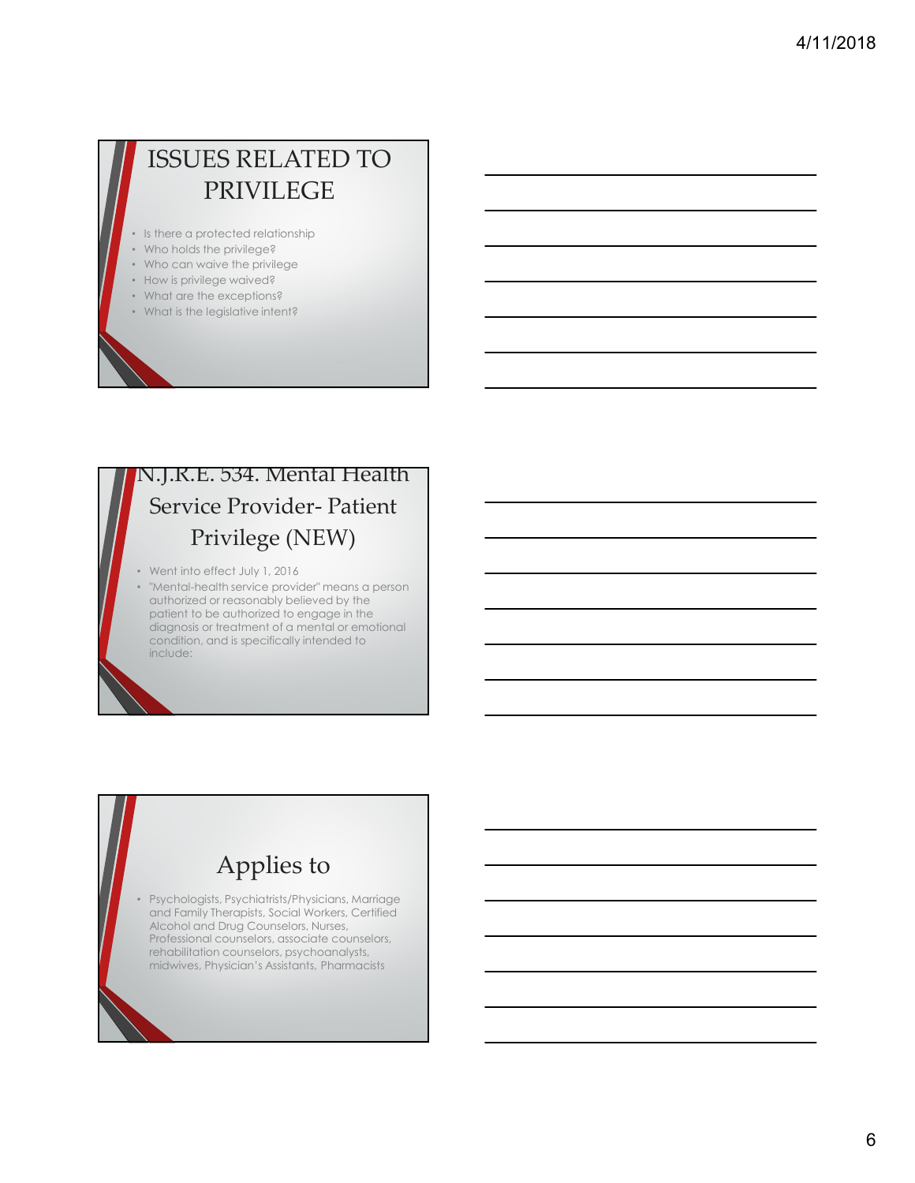#### ISSUES RELATED TO PRIVILEGE

- Is there a protected relationship
- Who holds the privilege?
- Who can waive the privilege
- How is privilege waived?
- What are the exceptions?
- What is the legislative intent?

# N.J.R.E. 534. Mental Health ISSUES RELATED TO<br>
PRIVILEGE<br>
There a protected relationship<br>
Min can wide in protéges<br>
Min and is protéges waived?<br>
Mind is the elegischive intensit?<br>
Mind is the elegischive intensit?<br>
Mind is the elegischive intensit?<br> Privilege (NEW)

- Went into effect July 1, 2016
- "Mental-health service provider" means a person authorized or reasonably believed by the patient to be authorized to engage in the diagnosis or treatment of a mental or emotional condition, and is specifically intended to include:

#### Applies to

• Psychologists, Psychiatrists/Physicians, Marriage and Family Therapists, Social Workers, Certified Alcohol and Drug Counselors, Nurses, Professional counselors, associate counselors, rehabilitation counselors, psychoanalysts, midwives, Physician's Assistants, Pharmacists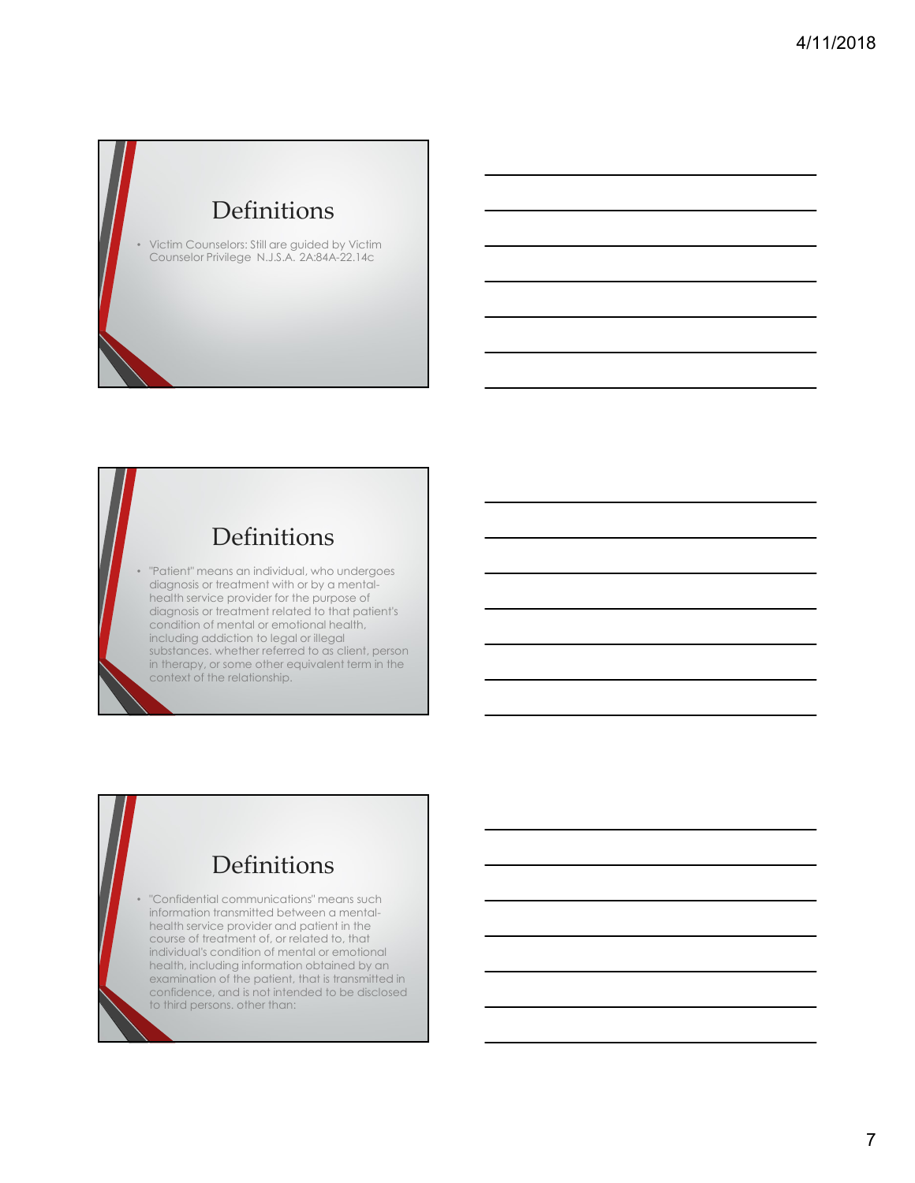#### Definitions

• Victim Counselors: Still are guided by Victim Counselor Privilege N.J.S.A. 2A:84A-22.14c

#### Definitions

• "Patient" means an individual, who undergoes diagnosis or treatment with or by a mentalhealth service provider for the purpose of diagnosis or treatment related to that patient's condition of mental or emotional health, including addiction to legal or illegal substances. whether referred to as client, person in therapy, or some other equivalent term in the context of the relationship.

#### Definitions

• "Confidential communications" means such information transmitted between a mentalhealth service provider and patient in the course of treatment of, or related to, that individual's condition of mental or emotional health, including information obtained by an examination of the patient, that is transmitted in confidence, and is not intended to be disclosed to third persons. other than: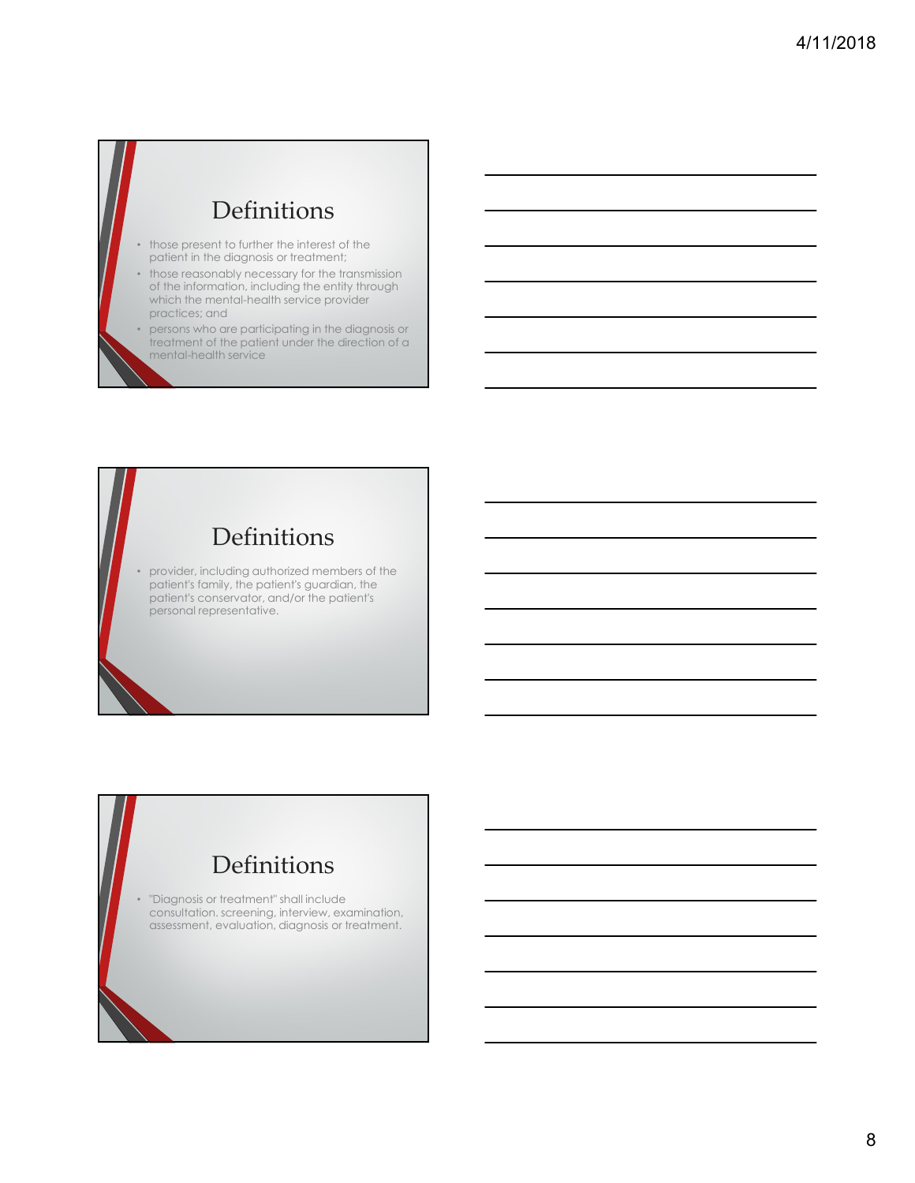#### Definitions

- those present to further the interest of the patient in the diagnosis or treatment;
- those reasonably necessary for the transmission of the information, including the entity through which the mental-health service provider practices; and
- persons who are participating in the diagnosis or treatment of the patient under the direction of a mental-health service

#### Definitions

• provider, including authorized members of the patient's family, the patient's guardian, the patient's conservator, and/or the patient's personal representative.

#### Definitions

• "Diagnosis or treatment" shall include consultation. screening, interview, examination, assessment, evaluation, diagnosis or treatment.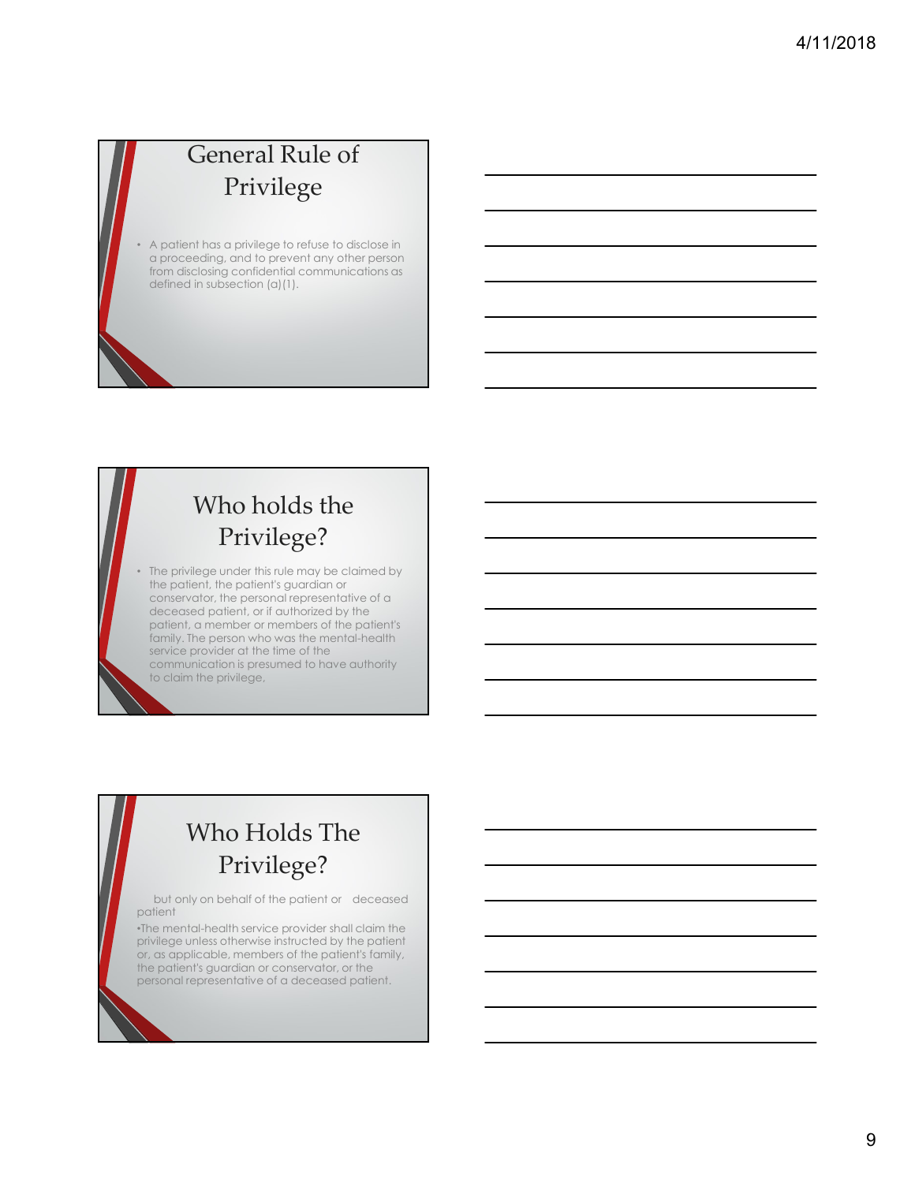#### General Rule of Privilege

• A patient has a privilege to refuse to disclose in a proceeding, and to prevent any other person from disclosing confidential communications as defined in subsection (a)(1).

#### Who holds the Privilege?

The privilege under this rule may be claimed by the patient, the patient's guardian or conservator, the personal representative of a deceased patient, or if authorized by the patient, a member or members of the patient's family. The person who was the mental-health service provider at the time of the communication is presumed to have authority to claim the privilege,

### Who Holds The Privilege?

but only on behalf of the patient or deceased patient

•The mental-health service provider shall claim the privilege unless otherwise instructed by the patient or, as applicable, members of the patient's family, the patient's guardian or conservator, or the personal representative of a deceased patient.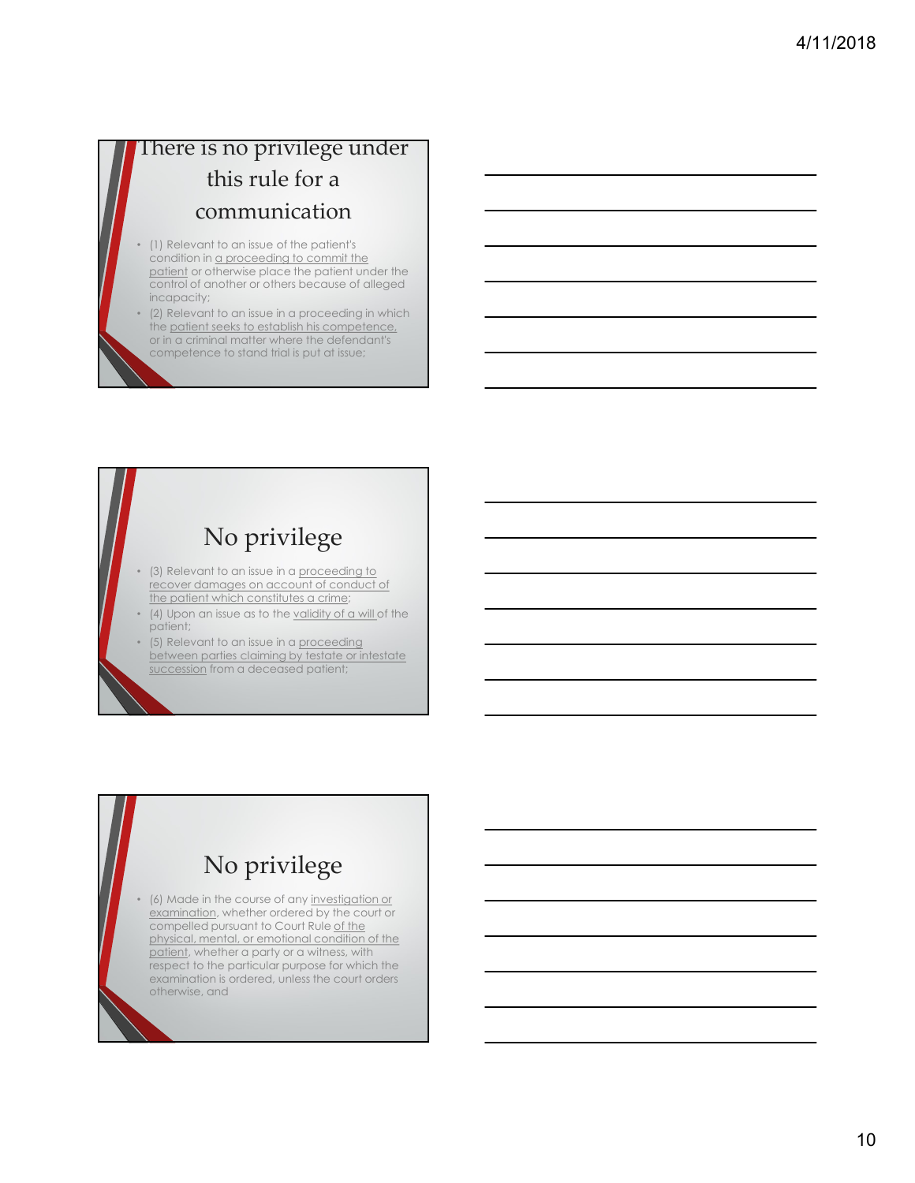# There is no privilege under this rule for a communication **here is no privilege under**<br> **this rule for a**<br> **communication**<br>
(1) Relevant to an issue of the patients<br>
condition in <u>a proceeding to commit the</u><br>
patient or drawise place the patient under the<br>
patient of drawise plac

- (1) Relevant to an issue of the patient's condition in <u>a proceeding to commit the</u><br>patient or otherwise place the patient under the control of another or others because of alleged incapacity;
- (2) Relevant to an issue in a proceeding in which the patient seeks to establish his competence, or in a criminal matter where the defendant's competence to stand trial is put at issue; control conclusion for the second of conclusion for the second of conclusion from a deceased patient sets to establish is competended.<br>The pole of conclusion for the definition of the defendence of a definition is competen

#### No privilege

- (3) Relevant to an issue in a proceeding to recover damages on account of conduct of the patient which constitutes a crime;
- (4) Upon an issue as to the validity of a will of the patient;
- (5) Relevant to an issue in a proceeding between parties claiming by testate or intestate

#### No privilege

• (6) Made in the course of any investigation or examination, whether ordered by the court or compelled pursuant to Court Rule of the physical, mental, or emotional condition of the patient, whether a party or a witness, with respect to the particular purpose for which the examination is ordered, unless the court orders otherwise, and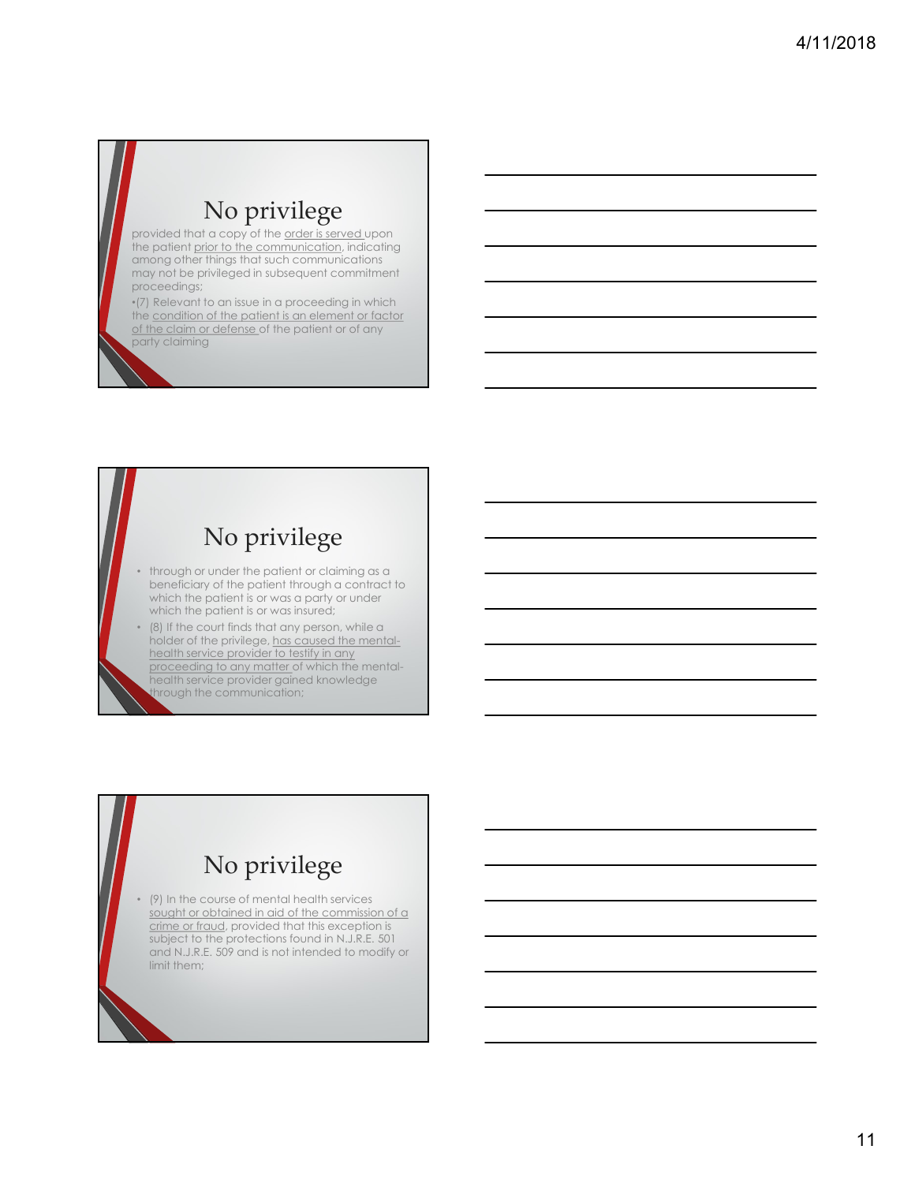#### No privilege

provided that a copy of the order is served upon the patient prior to the communication, indicating among other things that such communications may not be privileged in subsequent commitment proceedings;

•(7) Relevant to an issue in a proceeding in which the condition of the patient is an element or factor of the claim or defense of the patient or of any party claiming

#### No privilege

- through or under the patient or claiming as a beneficiary of the patient through a contract to which the patient is or was a party or under which the patient is or was insured;
- (8) If the court finds that any person, while a holder of the privilege, has caused the mentalhealth service provider to testify in any proceeding to any matter of which the mentalhealth service provider gained knowledge hrough the communication;

#### No privilege

• (9) In the course of mental health services sought or obtained in aid of the commission of a crime or fraud, provided that this exception is subject to the protections found in N.J.R.E. 501 and N.J.R.E. 509 and is not intended to modify or limit them;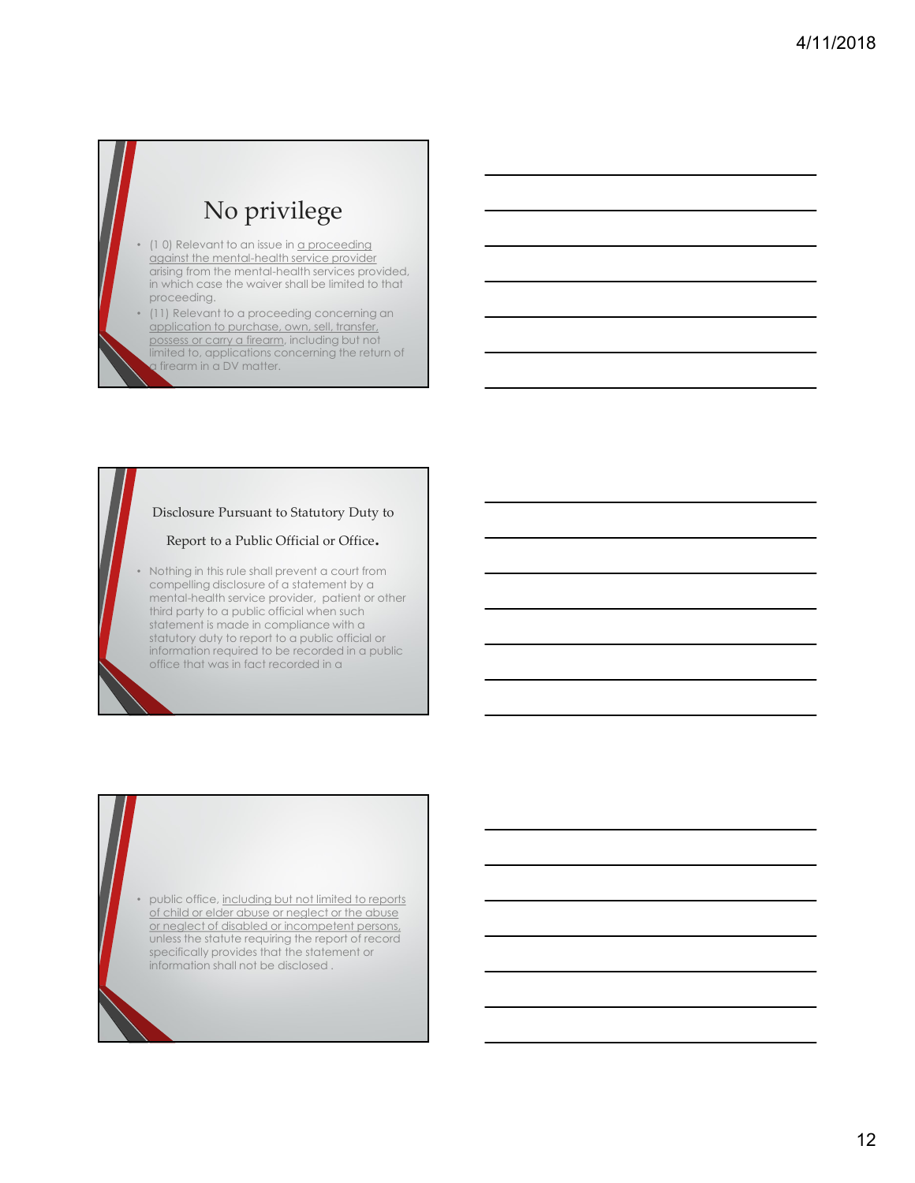#### No privilege

- (10) Relevant to an issue in a proceeding against the mental-health service provider arising from the mental-health services provided, in which case the waiver shall be limited to that proceeding.
- (11) Relevant to a proceeding concerning an application to purchase, own, sell, transfer, possess or carry a firearm, including but not limited to, applications concerning the return of firearm in a DV matter.

#### Disclosure Pursuant to Statutory Duty to

#### Report to a Public Official or Office.

• Nothing in this rule shall prevent a court from compelling disclosure of a statement by a mental-health service provider, patient or other third party to a public official when such statement is made in compliance with a statutory duty to report to a public official or information required to be recorded in a public office that was in fact recorded in a

• public office, including but not limited to reports of child or elder abuse or neglect or the abuse or neglect of disabled or incompetent persons, unless the statute requiring the report of record specifically provides that the statement or information shall not be disclosed .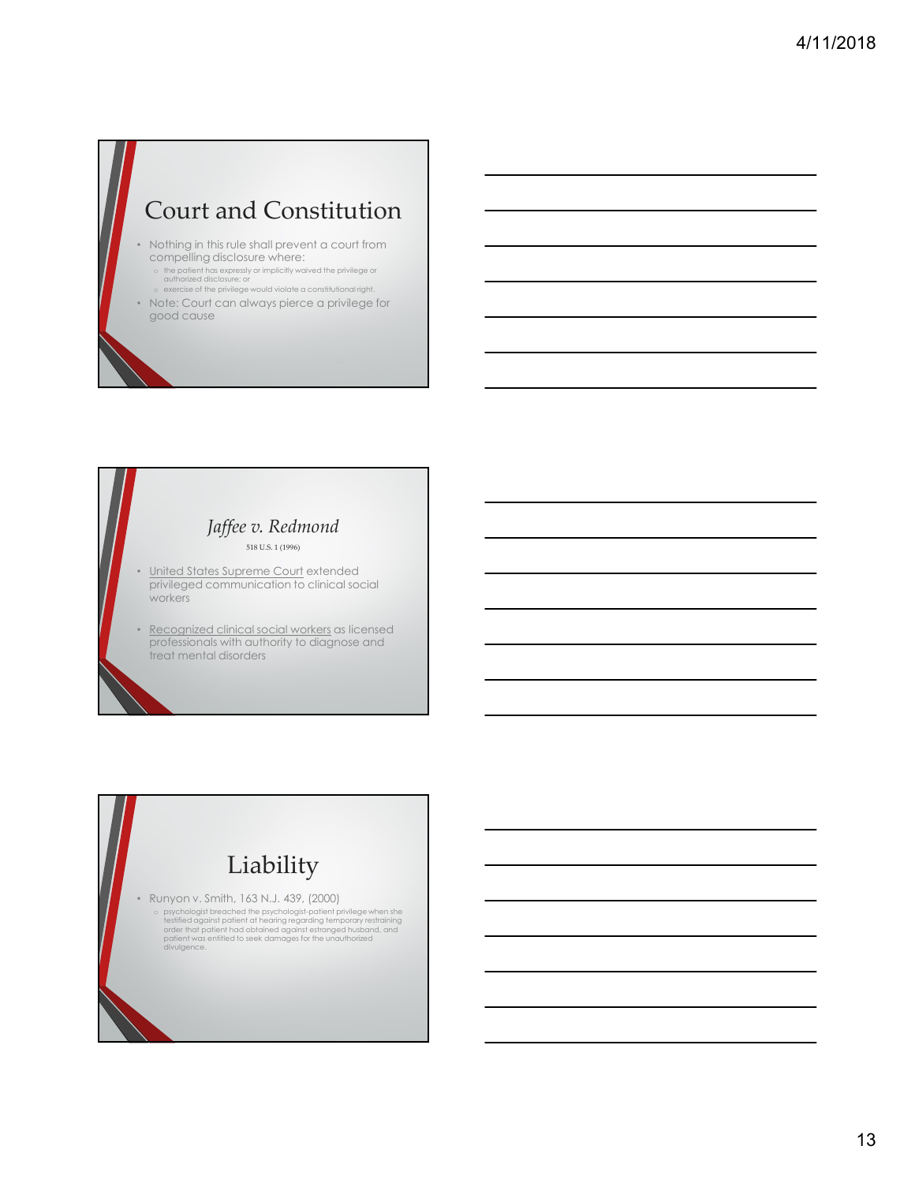#### Court and Constitution

- Nothing in this rule shall prevent a court from compelling disclosure where:
	- o the patient has expressly or implicitly waived the privilege or authorized disclosure; or authorized disclosure; or<br>authorized disclosure; or<br>o exercise of the privilege would violate a constitutional right.
	-
- Note: Court can always pierce a privilege for good cause

#### Jaffee v. Redmond 518 U.S. 1 (1996)

- <u>United States Supreme Court</u> extended<br>privileged communication to clinical social workers
- Nothing in this rule shall prevent a court form<br>
compelling disclosure where:<br>
 Supplem disclosure where:<br>
 Supplem and the state superior extended in the state of the state superior and the state superior and the stat • Nothing in this rule is the limit prevent of count from<br>
exceptions are considered considered to a section of the section of the section of the section of the section of the section of the section of the section of the s professionals with authority to diagnose and treat mental disorders

## Liability • Runyon v. Smith, 163 N.J. 439, (2000) o psychologist breached the psychologist-patient privilege when she<br>testified against patient at hearing regarding temporary restraining<br>order that patient had obtained against estranged husband, and<br>patient was entitled t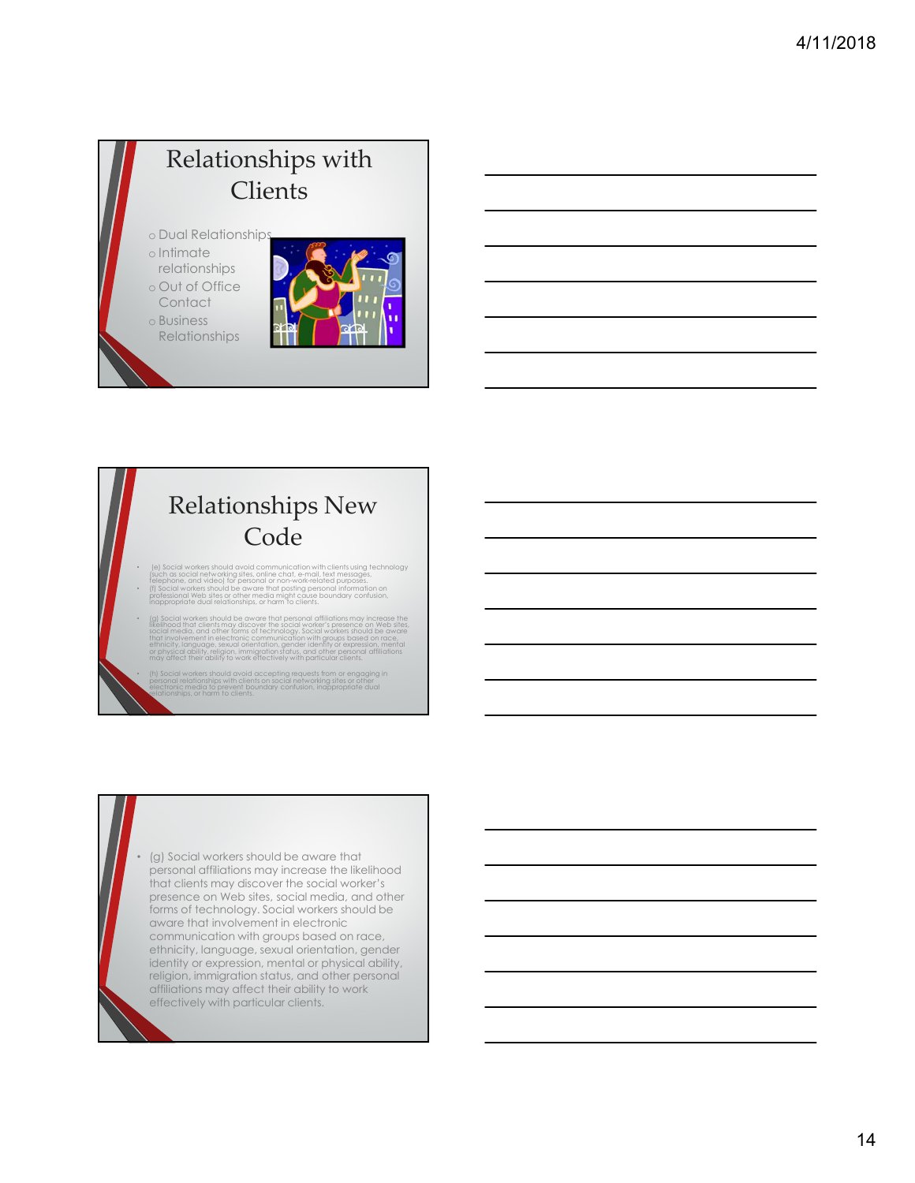### Relationships with **Clients**

o Dual Relationships o Intimate

- relationships o Out of Office
- **Contact**
- o Business
- Relationships



#### Relationships New Code

- (e) Social workers should avoid communication with clients using technology<br>(such as social networking sites, online chat, e-mail, text messages,<br>telephone, and video) for personal or non-work-related purposes.
- (f) Social workers should be aware that posting personal information on<br>professional Web sites or other media might cause boundary confusion,<br>inappropriate dual relationships, or harm to clients.
- (g) Social workers should be aware that personal affiliations may increase the<br>likelihood that clients my discover the social worker's presence on Web sites,<br>social media, and other forms of technology, social workers sh
	- al workers should avoid accepting requests from or engaging in<br>Il relationships with clients on social networking sites or other<br>ilc media to prevent boundary confusion, inappropriate dual<br>ships, or harm to clients.

• (g) Social workers should be aware that personal affiliations may increase the likelihood that clients may discover the social worker's presence on Web sites, social media, and other forms of technology. Social workers should be aware that involvement in electronic communication with groups based on race, ethnicity, language, sexual orientation, gender identity or expression, mental or physical ability, religion, immigration status, and other personal affiliations may affect their ability to work effectively with particular clients.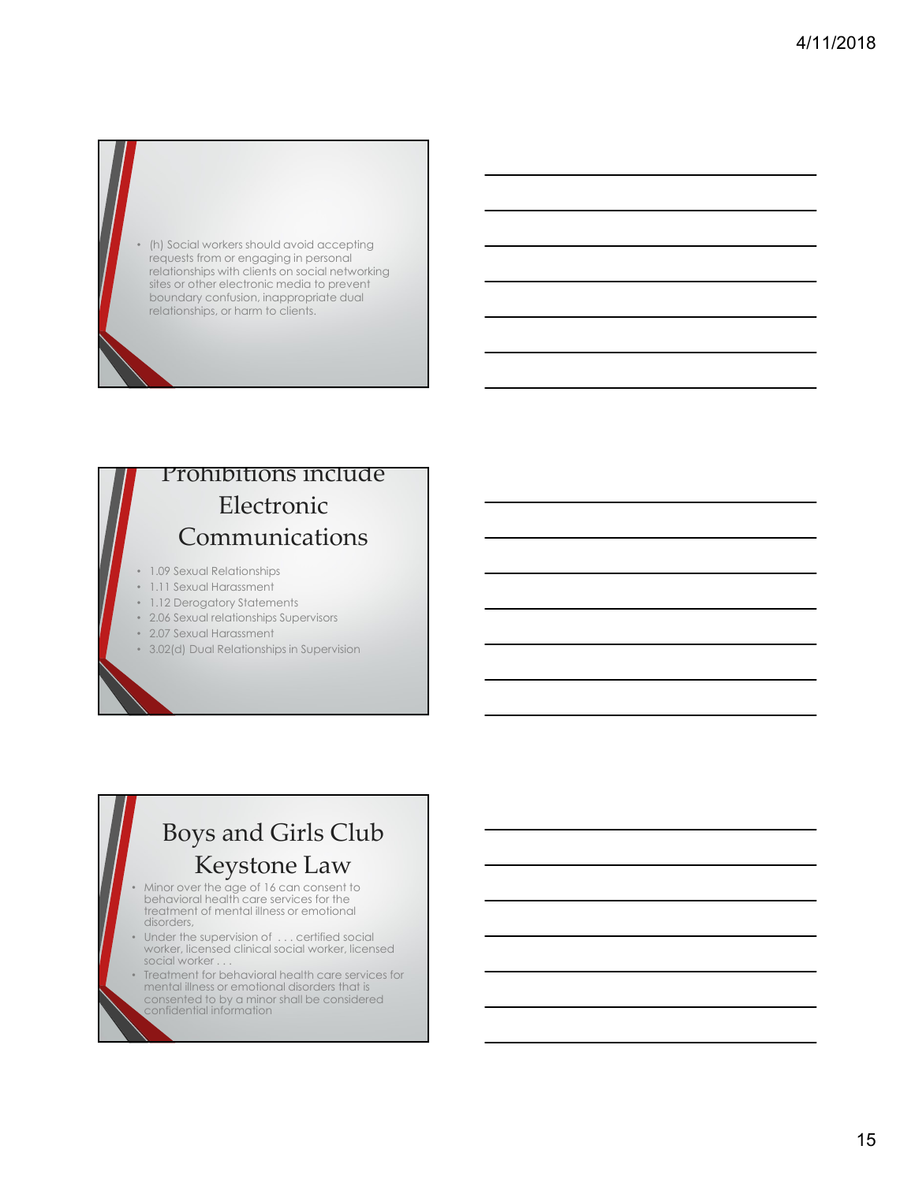

#### Prohibitions include Electronic Communications

- 1.09 Sexual Relationships
- 1.11 Sexual Harassment
- 1.12 Derogatory Statements
- 2.06 Sexual relationships Supervisors
- 2.07 Sexual Harassment
- 3.02(d) Dual Relationships in Supervision

#### Boys and Girls Club Keystone Law

- Minor over the age of 16 can consent to **the set of the set of the set of the set of the set of the set of the set of the set of the set of the set of the set of the set of the set of the set of the set of the set of the** behavioral health care services for the treatment of mental illness or emotional disorders,
- Under the supervision of . . . certified social worker, licensed clinical social worker, licensed social worker.
- Treatment for behavioral health care services for mental illness or emotional disorders that is consented to by a minor shall be considered confidential information